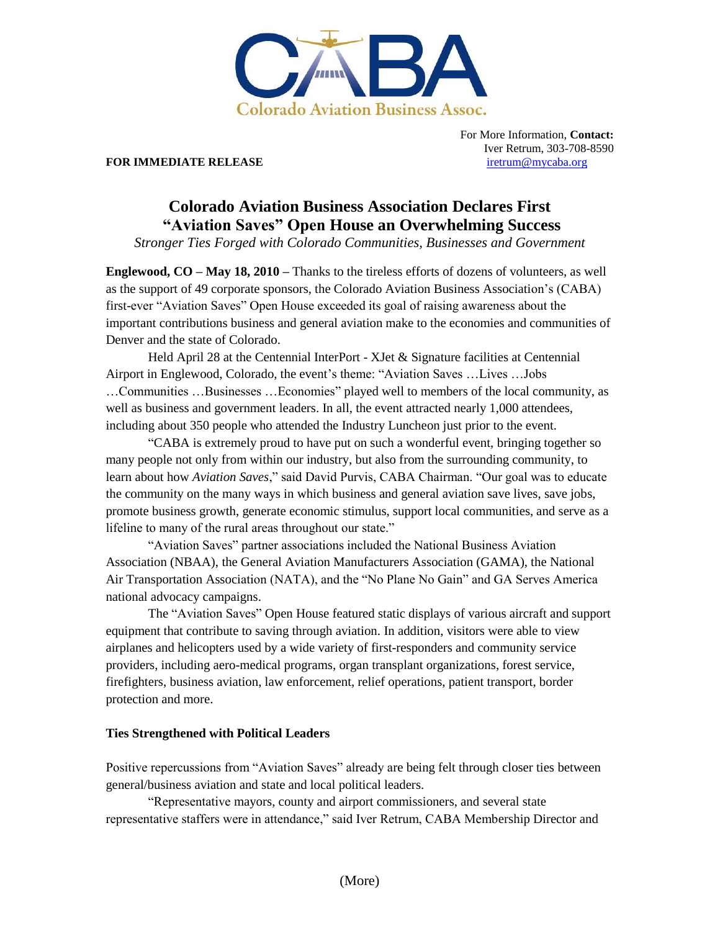

### **FOR IMMEDIATE RELEASE [iretrum@mycaba.org](mailto:iretrum@mycaba.org)**

For More Information, **Contact:** Iver Retrum, 303-708-8590

# **Colorado Aviation Business Association Declares First "Aviation Saves" Open House an Overwhelming Success**

*Stronger Ties Forged with Colorado Communities, Businesses and Government*

**Englewood, CO – May 18, 2010 –** Thanks to the tireless efforts of dozens of volunteers, as well as the support of 49 corporate sponsors, the Colorado Aviation Business Association"s (CABA) first-ever "Aviation Saves" Open House exceeded its goal of raising awareness about the important contributions business and general aviation make to the economies and communities of Denver and the state of Colorado.

Held April 28 at the Centennial InterPort - XJet & Signature facilities at Centennial Airport in Englewood, Colorado, the event"s theme: "Aviation Saves …Lives …Jobs …Communities …Businesses …Economies" played well to members of the local community, as well as business and government leaders. In all, the event attracted nearly 1,000 attendees, including about 350 people who attended the Industry Luncheon just prior to the event.

"CABA is extremely proud to have put on such a wonderful event, bringing together so many people not only from within our industry, but also from the surrounding community, to learn about how *Aviation Saves*," said David Purvis, CABA Chairman. "Our goal was to educate the community on the many ways in which business and general aviation save lives, save jobs, promote business growth, generate economic stimulus, support local communities, and serve as a lifeline to many of the rural areas throughout our state."

"Aviation Saves" partner associations included the National Business Aviation Association (NBAA), the General Aviation Manufacturers Association (GAMA), the National Air Transportation Association (NATA), and the "No Plane No Gain" and GA Serves America national advocacy campaigns.

The "Aviation Saves" Open House featured static displays of various aircraft and support equipment that contribute to saving through aviation. In addition, visitors were able to view airplanes and helicopters used by a wide variety of first-responders and community service providers, including aero-medical programs, organ transplant organizations, forest service, firefighters, business aviation, law enforcement, relief operations, patient transport, border protection and more.

## **Ties Strengthened with Political Leaders**

Positive repercussions from "Aviation Saves" already are being felt through closer ties between general/business aviation and state and local political leaders.

"Representative mayors, county and airport commissioners, and several state representative staffers were in attendance," said Iver Retrum, CABA Membership Director and